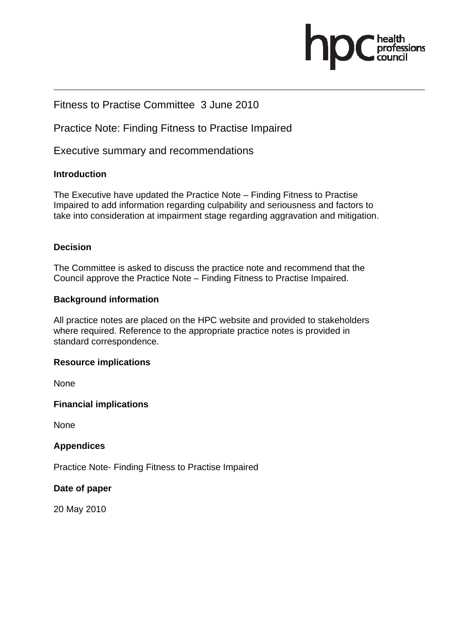

# Fitness to Practise Committee 3 June 2010

Practice Note: Finding Fitness to Practise Impaired

Executive summary and recommendations

### **Introduction**

The Executive have updated the Practice Note – Finding Fitness to Practise Impaired to add information regarding culpability and seriousness and factors to take into consideration at impairment stage regarding aggravation and mitigation.

### **Decision**

The Committee is asked to discuss the practice note and recommend that the Council approve the Practice Note – Finding Fitness to Practise Impaired.

### **Background information**

All practice notes are placed on the HPC website and provided to stakeholders where required. Reference to the appropriate practice notes is provided in standard correspondence.

### **Resource implications**

None

### **Financial implications**

None

### **Appendices**

Practice Note- Finding Fitness to Practise Impaired

### **Date of paper**

20 May 2010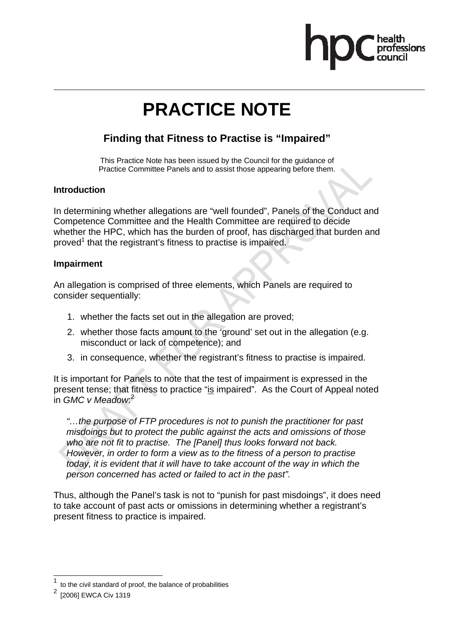

# **PRACTICE NOTE**

# **Finding that Fitness to Practise is "Impaired"**

This Practice Note has been issued by the Council for the guidance of Practice Committee Panels and to assist those appearing before them.

### **Introduction**

In determining whether allegations are "well founded", Panels of the Conduct and Competence Committee and the Health Committee are required to decide whether the HPC, which has the burden of proof, has discharged that burden and proved<sup>1</sup> that the registrant's fitness to practise is impaired.

#### **Impairment**

An allegation is comprised of three elements, which Panels are required to consider sequentially:

- 1. whether the facts set out in the allegation are proved;
- 2. whether those facts amount to the 'ground' set out in the allegation (e.g. misconduct or lack of competence); and
- 3. in consequence, whether the registrant's fitness to practise is impaired.

It is important for Panels to note that the test of impairment is expressed in the present tense; that fitness to practice "is impaired". As the Court of Appeal noted in *GMC v Meadow*: 2

*"…the purpose of FTP procedures is not to punish the practitioner for past misdoings but to protect the public against the acts and omissions of those who are not fit to practise. The [Panel] thus looks forward not back. However, in order to form a view as to the fitness of a person to practise today, it is evident that it will have to take account of the way in which the person concerned has acted or failed to act in the past".* 

Thus, although the Panel's task is not to "punish for past misdoings", it does need to take account of past acts or omissions in determining whether a registrant's present fitness to practice is impaired.

 $\overline{a}$ 

<sup>1</sup> to the civil standard of proof, the balance of probabilities

<sup>2</sup> [2006] EWCA Civ 1319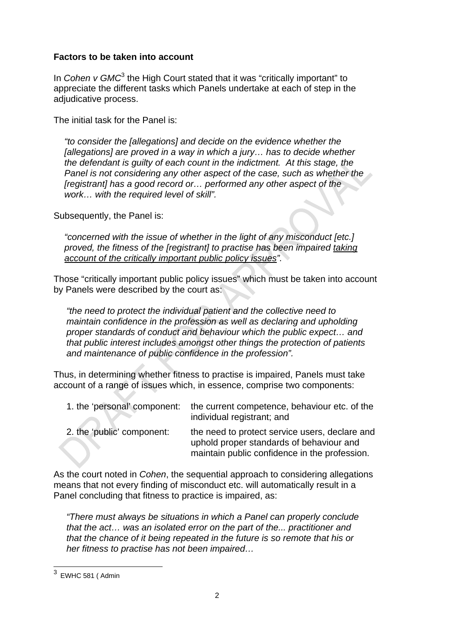### **Factors to be taken into account**

In *Cohen v GMC*<sup>3</sup> the High Court stated that it was "critically important" to appreciate the different tasks which Panels undertake at each of step in the adjudicative process.

The initial task for the Panel is:

*"to consider the [allegations] and decide on the evidence whether the [allegations] are proved in a way in which a jury… has to decide whether the defendant is guilty of each count in the indictment. At this stage, the Panel is not considering any other aspect of the case, such as whether the [registrant] has a good record or… performed any other aspect of the work… with the required level of skill".* 

Subsequently, the Panel is:

*"concerned with the issue of whether in the light of any misconduct [etc.] proved, the fitness of the [registrant] to practise has been impaired taking account of the critically important public policy issues".* 

Those "critically important public policy issues" which must be taken into account by Panels were described by the court as:

*"the need to protect the individual patient and the collective need to maintain confidence in the profession as well as declaring and upholding proper standards of conduct and behaviour which the public expect… and that public interest includes amongst other things the protection of patients and maintenance of public confidence in the profession".* 

Thus, in determining whether fitness to practise is impaired, Panels must take account of a range of issues which, in essence, comprise two components:

| 1. the 'personal' component: | the current competence, behaviour etc. of the<br>individual registrant; and                                                                 |
|------------------------------|---------------------------------------------------------------------------------------------------------------------------------------------|
| 2. the 'public' component:   | the need to protect service users, declare and<br>uphold proper standards of behaviour and<br>maintain public confidence in the profession. |

As the court noted in *Cohen*, the sequential approach to considering allegations means that not every finding of misconduct etc. will automatically result in a Panel concluding that fitness to practice is impaired, as:

*"There must always be situations in which a Panel can properly conclude that the act… was an isolated error on the part of the... practitioner and that the chance of it being repeated in the future is so remote that his or her fitness to practise has not been impaired…* 

<sup>-&</sup>lt;br>3 EWHC 581 ( Admin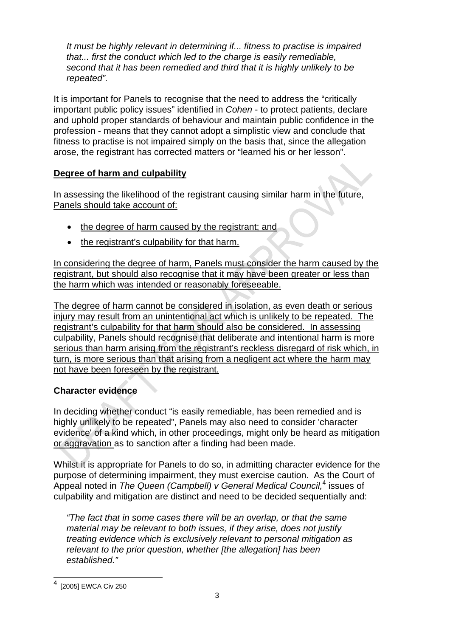*It must be highly relevant in determining if... fitness to practise is impaired that... first the conduct which led to the charge is easily remediable, second that it has been remedied and third that it is highly unlikely to be repeated".* 

It is important for Panels to recognise that the need to address the "critically important public policy issues" identified in *Cohen* - to protect patients, declare and uphold proper standards of behaviour and maintain public confidence in the profession - means that they cannot adopt a simplistic view and conclude that fitness to practise is not impaired simply on the basis that, since the allegation arose, the registrant has corrected matters or "learned his or her lesson".

## **Degree of harm and culpability**

In assessing the likelihood of the registrant causing similar harm in the future, Panels should take account of:

- the degree of harm caused by the registrant; and
- the registrant's culpability for that harm.

In considering the degree of harm, Panels must consider the harm caused by the registrant, but should also recognise that it may have been greater or less than the harm which was intended or reasonably foreseeable.

The degree of harm cannot be considered in isolation, as even death or serious injury may result from an unintentional act which is unlikely to be repeated. The registrant's culpability for that harm should also be considered. In assessing culpability, Panels should recognise that deliberate and intentional harm is more serious than harm arising from the registrant's reckless disregard of risk which, in turn, is more serious than that arising from a negligent act where the harm may not have been foreseen by the registrant.

# **Character evidence**

In deciding whether conduct "is easily remediable, has been remedied and is highly unlikely to be repeated", Panels may also need to consider 'character evidence' of a kind which, in other proceedings, might only be heard as mitigation or aggravation as to sanction after a finding had been made.

Whilst it is appropriate for Panels to do so, in admitting character evidence for the purpose of determining impairment, they must exercise caution. As the Court of Appeal noted in *The Queen (Campbell) v General Medical Council,*<sup>4</sup> issues of culpability and mitigation are distinct and need to be decided sequentially and:

*"The fact that in some cases there will be an overlap, or that the same material may be relevant to both issues, if they arise, does not justify treating evidence which is exclusively relevant to personal mitigation as relevant to the prior question, whether [the allegation] has been established."* 

 $\overline{a}$ 

<sup>4</sup> [2005] EWCA Civ 250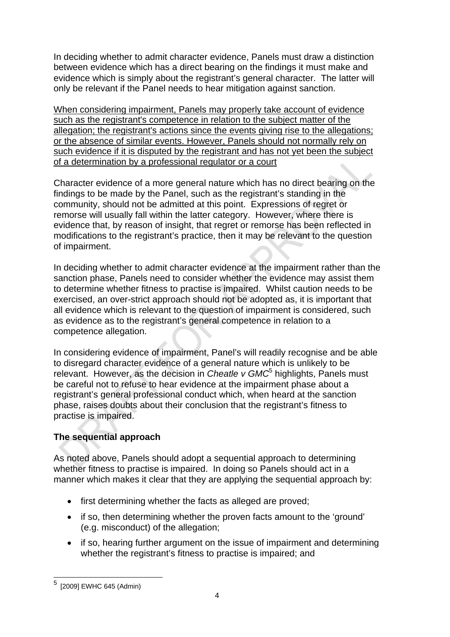In deciding whether to admit character evidence, Panels must draw a distinction between evidence which has a direct bearing on the findings it must make and evidence which is simply about the registrant's general character. The latter will only be relevant if the Panel needs to hear mitigation against sanction.

When considering impairment, Panels may properly take account of evidence such as the registrant's competence in relation to the subject matter of the allegation; the registrant's actions since the events giving rise to the allegations; or the absence of similar events. However, Panels should not normally rely on such evidence if it is disputed by the registrant and has not yet been the subject of a determination by a professional regulator or a court

Character evidence of a more general nature which has no direct bearing on the findings to be made by the Panel, such as the registrant's standing in the community, should not be admitted at this point. Expressions of regret or remorse will usually fall within the latter category. However, where there is evidence that, by reason of insight, that regret or remorse has been reflected in modifications to the registrant's practice, then it may be relevant to the question of impairment.

In deciding whether to admit character evidence at the impairment rather than the sanction phase, Panels need to consider whether the evidence may assist them to determine whether fitness to practise is impaired. Whilst caution needs to be exercised, an over-strict approach should not be adopted as, it is important that all evidence which is relevant to the question of impairment is considered, such as evidence as to the registrant's general competence in relation to a competence allegation.

In considering evidence of impairment, Panel's will readily recognise and be able to disregard character evidence of a general nature which is unlikely to be relevant. However, as the decision in *Cheatle v GMC*<sup>5</sup> highlights, Panels must be careful not to refuse to hear evidence at the impairment phase about a registrant's general professional conduct which, when heard at the sanction phase, raises doubts about their conclusion that the registrant's fitness to practise is impaired.

### **The sequential approach**

As noted above, Panels should adopt a sequential approach to determining whether fitness to practise is impaired. In doing so Panels should act in a manner which makes it clear that they are applying the sequential approach by:

- first determining whether the facts as alleged are proved;
- if so, then determining whether the proven facts amount to the 'ground' (e.g. misconduct) of the allegation;
- if so, hearing further argument on the issue of impairment and determining whether the registrant's fitness to practise is impaired; and

<sup>–&</sup>lt;br><sup>5</sup> [2009] EWHC 645 (Admin)